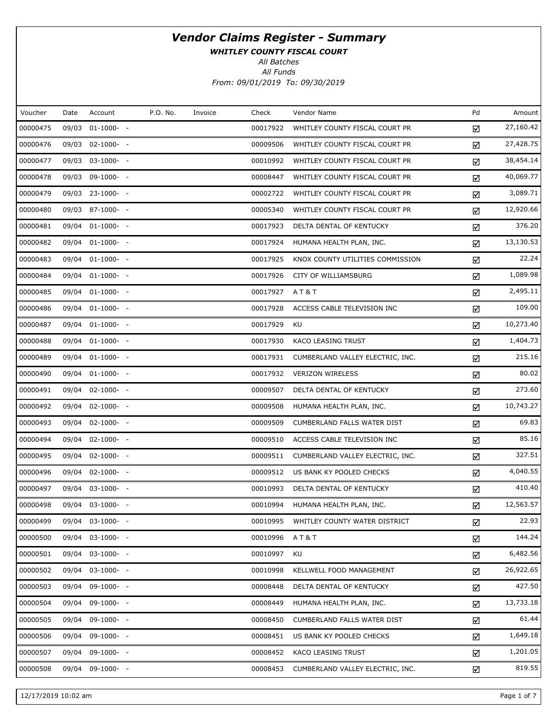WHITLEY COUNTY FISCAL COURT

All Batches

All Funds From: 09/01/2019 To: 09/30/2019

| Voucher  | Date  | Account          | P.O. No. | Invoice | Check    | Vendor Name                      | Pd | Amount    |
|----------|-------|------------------|----------|---------|----------|----------------------------------|----|-----------|
| 00000475 |       | 09/03 01-1000- - |          |         | 00017922 | WHITLEY COUNTY FISCAL COURT PR   | ☑  | 27,160.42 |
| 00000476 |       | 09/03 02-1000- - |          |         | 00009506 | WHITLEY COUNTY FISCAL COURT PR   | ☑  | 27,428.75 |
| 00000477 |       | 09/03 03-1000- - |          |         | 00010992 | WHITLEY COUNTY FISCAL COURT PR   | ☑  | 38,454.14 |
| 00000478 |       | 09/03 09-1000- - |          |         | 00008447 | WHITLEY COUNTY FISCAL COURT PR   | ☑  | 40,069.77 |
| 00000479 |       | 09/03 23-1000- - |          |         | 00002722 | WHITLEY COUNTY FISCAL COURT PR   | ☑  | 3,089.71  |
| 00000480 |       | 09/03 87-1000- - |          |         | 00005340 | WHITLEY COUNTY FISCAL COURT PR   | ☑  | 12,920.66 |
| 00000481 |       | 09/04 01-1000- - |          |         | 00017923 | DELTA DENTAL OF KENTUCKY         | ☑  | 376.20    |
| 00000482 |       | 09/04 01-1000- - |          |         | 00017924 | HUMANA HEALTH PLAN, INC.         | ☑  | 13,130.53 |
| 00000483 |       | 09/04 01-1000- - |          |         | 00017925 | KNOX COUNTY UTILITIES COMMISSION | ☑  | 22.24     |
| 00000484 |       | 09/04 01-1000- - |          |         | 00017926 | CITY OF WILLIAMSBURG             | ☑  | 1,089.98  |
| 00000485 |       | 09/04 01-1000- - |          |         | 00017927 | AT&T                             | ☑  | 2,495.11  |
| 00000486 |       | 09/04 01-1000- - |          |         | 00017928 | ACCESS CABLE TELEVISION INC      | ☑  | 109.00    |
| 00000487 |       | 09/04 01-1000- - |          |         | 00017929 | KU                               | ☑  | 10,273.40 |
| 00000488 |       | 09/04 01-1000- - |          |         | 00017930 | KACO LEASING TRUST               | ☑  | 1,404.73  |
| 00000489 |       | 09/04 01-1000- - |          |         | 00017931 | CUMBERLAND VALLEY ELECTRIC, INC. | ☑  | 215.16    |
| 00000490 |       | 09/04 01-1000- - |          |         | 00017932 | <b>VERIZON WIRELESS</b>          | ☑  | 80.02     |
| 00000491 |       | 09/04 02-1000- - |          |         | 00009507 | DELTA DENTAL OF KENTUCKY         | ☑  | 273.60    |
| 00000492 |       | 09/04 02-1000- - |          |         | 00009508 | HUMANA HEALTH PLAN, INC.         | ☑  | 10,743.27 |
| 00000493 |       | 09/04 02-1000- - |          |         | 00009509 | CUMBERLAND FALLS WATER DIST      | ☑  | 69.83     |
| 00000494 |       | 09/04 02-1000- - |          |         | 00009510 | ACCESS CABLE TELEVISION INC      | ☑  | 85.16     |
| 00000495 |       | 09/04 02-1000- - |          |         | 00009511 | CUMBERLAND VALLEY ELECTRIC, INC. | ☑  | 327.51    |
| 00000496 |       | 09/04 02-1000- - |          |         | 00009512 | US BANK KY POOLED CHECKS         | ☑  | 4,040.55  |
| 00000497 |       | 09/04 03-1000- - |          |         | 00010993 | DELTA DENTAL OF KENTUCKY         | ☑  | 410.40    |
| 00000498 |       | 09/04 03-1000- - |          |         | 00010994 | HUMANA HEALTH PLAN, INC.         | ☑  | 12,563.57 |
| 00000499 |       | 09/04 03-1000- - |          |         | 00010995 | WHITLEY COUNTY WATER DISTRICT    | ☑  | 22.93     |
| 00000500 |       | 09/04 03-1000- - |          |         | 00010996 | AT&T                             | ☑  | 144.24    |
| 00000501 |       | 09/04 03-1000- - |          |         | 00010997 | KU                               | ☑  | 6,482.56  |
| 00000502 |       | 09/04 03-1000- - |          |         | 00010998 | KELLWELL FOOD MANAGEMENT         | ☑  | 26,922.65 |
| 00000503 |       | 09/04 09-1000- - |          |         | 00008448 | DELTA DENTAL OF KENTUCKY         | ☑  | 427.50    |
| 00000504 | 09/04 | 09-1000- -       |          |         | 00008449 | HUMANA HEALTH PLAN, INC.         | ☑  | 13,733.18 |
| 00000505 |       | 09/04 09-1000- - |          |         | 00008450 | CUMBERLAND FALLS WATER DIST      | ☑  | 61.44     |
| 00000506 |       | 09/04 09-1000- - |          |         | 00008451 | US BANK KY POOLED CHECKS         | ☑  | 1,649.18  |
| 00000507 |       | 09/04 09-1000- - |          |         | 00008452 | KACO LEASING TRUST               | ☑  | 1,201.05  |
| 00000508 |       | 09/04 09-1000- - |          |         | 00008453 | CUMBERLAND VALLEY ELECTRIC, INC. | ☑  | 819.55    |

12/17/2019 10:02 am Page 1 of 7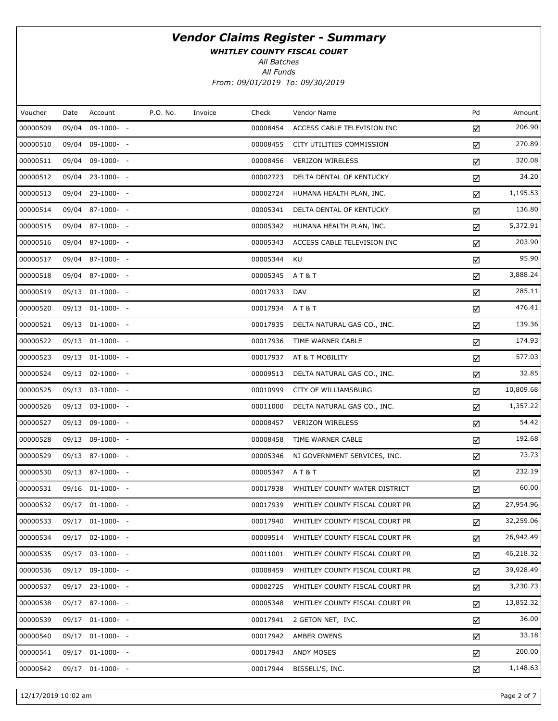WHITLEY COUNTY FISCAL COURT

All Batches

| Voucher  | Date  | Account          | P.O. No. | Invoice | Check    | Vendor Name                    | Pd | Amount    |
|----------|-------|------------------|----------|---------|----------|--------------------------------|----|-----------|
| 00000509 | 09/04 | $09-1000- -$     |          |         | 00008454 | ACCESS CABLE TELEVISION INC    | ☑  | 206.90    |
| 00000510 |       | 09/04 09-1000- - |          |         | 00008455 | CITY UTILITIES COMMISSION      | ☑  | 270.89    |
| 00000511 | 09/04 | 09-1000- -       |          |         | 00008456 | <b>VERIZON WIRELESS</b>        | ☑  | 320.08    |
| 00000512 |       | 09/04 23-1000- - |          |         | 00002723 | DELTA DENTAL OF KENTUCKY       | ☑  | 34.20     |
| 00000513 |       | 09/04 23-1000- - |          |         | 00002724 | HUMANA HEALTH PLAN, INC.       | ☑  | 1,195.53  |
| 00000514 |       | 09/04 87-1000- - |          |         | 00005341 | DELTA DENTAL OF KENTUCKY       | ☑  | 136.80    |
| 00000515 |       | 09/04 87-1000- - |          |         | 00005342 | HUMANA HEALTH PLAN, INC.       | ☑  | 5,372.91  |
| 00000516 |       | 09/04 87-1000- - |          |         | 00005343 | ACCESS CABLE TELEVISION INC    | ☑  | 203.90    |
| 00000517 |       | 09/04 87-1000- - |          |         | 00005344 | <b>KU</b>                      | ☑  | 95.90     |
| 00000518 |       | 09/04 87-1000- - |          |         | 00005345 | A T & T                        | ☑  | 3,888.24  |
| 00000519 |       | 09/13 01-1000- - |          |         | 00017933 | <b>DAV</b>                     | ☑  | 285.11    |
| 00000520 |       | 09/13 01-1000- - |          |         | 00017934 | A T & T                        | ☑  | 476.41    |
| 00000521 |       | 09/13 01-1000- - |          |         | 00017935 | DELTA NATURAL GAS CO., INC.    | ☑  | 139.36    |
| 00000522 |       | 09/13 01-1000- - |          |         | 00017936 | TIME WARNER CABLE              | ☑  | 174.93    |
| 00000523 |       | 09/13 01-1000- - |          |         | 00017937 | AT & T MOBILITY                | ☑  | 577.03    |
| 00000524 |       | 09/13 02-1000- - |          |         | 00009513 | DELTA NATURAL GAS CO., INC.    | ☑  | 32.85     |
| 00000525 |       | 09/13 03-1000- - |          |         | 00010999 | CITY OF WILLIAMSBURG           | ☑  | 10,809.68 |
| 00000526 |       | 09/13 03-1000- - |          |         | 00011000 | DELTA NATURAL GAS CO., INC.    | ☑  | 1,357.22  |
| 00000527 |       | 09/13 09-1000- - |          |         | 00008457 | <b>VERIZON WIRELESS</b>        | ☑  | 54.42     |
| 00000528 |       | 09/13 09-1000- - |          |         | 00008458 | TIME WARNER CABLE              | ☑  | 192.68    |
| 00000529 |       | 09/13 87-1000- - |          |         | 00005346 | NI GOVERNMENT SERVICES, INC.   | ☑  | 73.73     |
| 00000530 |       | 09/13 87-1000- - |          |         | 00005347 | <b>AT&amp;T</b>                | ☑  | 232.19    |
| 00000531 |       | 09/16 01-1000- - |          |         | 00017938 | WHITLEY COUNTY WATER DISTRICT  | ☑  | 60.00     |
| 00000532 |       | 09/17 01-1000- - |          |         | 00017939 | WHITLEY COUNTY FISCAL COURT PR | ☑  | 27,954.96 |
| 00000533 |       | 09/17 01-1000- - |          |         | 00017940 | WHITLEY COUNTY FISCAL COURT PR | ☑  | 32,259.06 |
| 00000534 |       | 09/17 02-1000- - |          |         | 00009514 | WHITLEY COUNTY FISCAL COURT PR | ☑  | 26,942.49 |
| 00000535 |       | 09/17 03-1000- - |          |         | 00011001 | WHITLEY COUNTY FISCAL COURT PR | ☑  | 46,218.32 |
| 00000536 |       | 09/17 09-1000- - |          |         | 00008459 | WHITLEY COUNTY FISCAL COURT PR | ☑  | 39,928.49 |
| 00000537 |       | 09/17 23-1000- - |          |         | 00002725 | WHITLEY COUNTY FISCAL COURT PR | ☑  | 3,230.73  |
| 00000538 |       | 09/17 87-1000- - |          |         | 00005348 | WHITLEY COUNTY FISCAL COURT PR | ☑  | 13,852.32 |
| 00000539 |       | 09/17 01-1000- - |          |         | 00017941 | 2 GETON NET, INC.              | ☑  | 36.00     |
| 00000540 |       | 09/17 01-1000- - |          |         | 00017942 | AMBER OWENS                    | ☑  | 33.18     |
| 00000541 |       | 09/17 01-1000- - |          |         | 00017943 | ANDY MOSES                     | ☑  | 200.00    |
| 00000542 |       | 09/17 01-1000- - |          |         | 00017944 | BISSELL'S, INC.                | ☑  | 1,148.63  |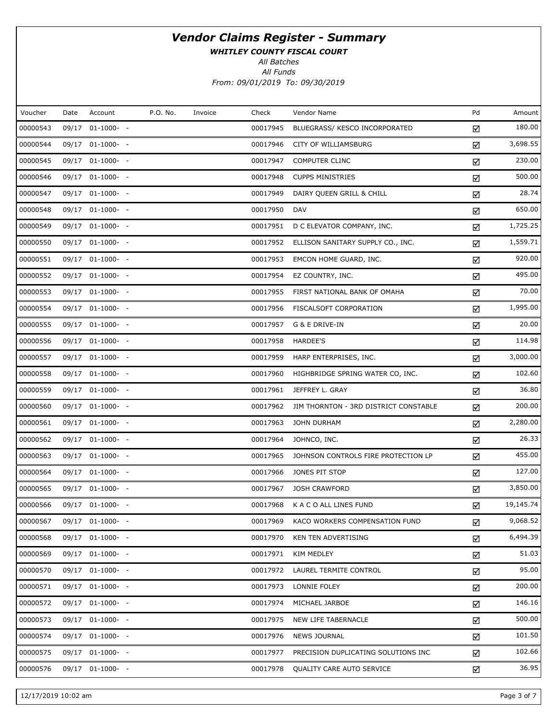WHITLEY COUNTY FISCAL COURT

All Batches

All Funds From: 09/01/2019 To: 09/30/2019

| Voucher  | Date | Account          | P.O. No. | Invoice | Check    | Vendor Name                           | Pd | Amount    |
|----------|------|------------------|----------|---------|----------|---------------------------------------|----|-----------|
| 00000543 |      | 09/17 01-1000- - |          |         | 00017945 | BLUEGRASS/ KESCO INCORPORATED         | ☑  | 180.00    |
| 00000544 |      | 09/17 01-1000- - |          |         | 00017946 | CITY OF WILLIAMSBURG                  | ☑  | 3,698.55  |
| 00000545 |      | 09/17 01-1000- - |          |         | 00017947 | <b>COMPUTER CLINC</b>                 | ☑  | 230.00    |
| 00000546 |      | 09/17 01-1000- - |          |         | 00017948 | <b>CUPPS MINISTRIES</b>               | ☑  | 500.00    |
| 00000547 |      | 09/17 01-1000- - |          |         | 00017949 | DAIRY QUEEN GRILL & CHILL             | ☑  | 28.74     |
| 00000548 |      | 09/17 01-1000- - |          |         | 00017950 | <b>DAV</b>                            | ☑  | 650.00    |
| 00000549 |      | 09/17 01-1000- - |          |         | 00017951 | D C ELEVATOR COMPANY, INC.            | ☑  | 1,725.25  |
| 00000550 |      | 09/17 01-1000- - |          |         | 00017952 | ELLISON SANITARY SUPPLY CO., INC.     | ☑  | 1,559.71  |
| 00000551 |      | 09/17 01-1000- - |          |         | 00017953 | EMCON HOME GUARD, INC.                | ☑  | 920.00    |
| 00000552 |      | 09/17 01-1000- - |          |         | 00017954 | EZ COUNTRY, INC.                      | ☑  | 495.00    |
| 00000553 |      | 09/17 01-1000- - |          |         | 00017955 | FIRST NATIONAL BANK OF OMAHA          | ☑  | 70.00     |
| 00000554 |      | 09/17 01-1000- - |          |         | 00017956 | FISCALSOFT CORPORATION                | ☑  | 1,995.00  |
| 00000555 |      | 09/17 01-1000- - |          |         | 00017957 | G & E DRIVE-IN                        | ☑  | 20.00     |
| 00000556 |      | 09/17 01-1000- - |          |         | 00017958 | <b>HARDEE'S</b>                       | ☑  | 114.98    |
| 00000557 |      | 09/17 01-1000- - |          |         | 00017959 | HARP ENTERPRISES, INC.                | ☑  | 3,000.00  |
| 00000558 |      | 09/17 01-1000- - |          |         | 00017960 | HIGHBRIDGE SPRING WATER CO, INC.      | ☑  | 102.60    |
| 00000559 |      | 09/17 01-1000- - |          |         | 00017961 | JEFFREY L. GRAY                       | ☑  | 36.80     |
| 00000560 |      | 09/17 01-1000- - |          |         | 00017962 | JIM THORNTON - 3RD DISTRICT CONSTABLE | ☑  | 200.00    |
| 00000561 |      | 09/17 01-1000- - |          |         | 00017963 | <b>JOHN DURHAM</b>                    | ☑  | 2,280.00  |
| 00000562 |      | 09/17 01-1000- - |          |         | 00017964 | JOHNCO, INC.                          | ☑  | 26.33     |
| 00000563 |      | 09/17 01-1000- - |          |         | 00017965 | JOHNSON CONTROLS FIRE PROTECTION LP   | ☑  | 455.00    |
| 00000564 |      | 09/17 01-1000- - |          |         | 00017966 | JONES PIT STOP                        | ☑  | 127.00    |
| 00000565 |      | 09/17 01-1000- - |          |         | 00017967 | <b>JOSH CRAWFORD</b>                  | ☑  | 3,850.00  |
| 00000566 |      | 09/17 01-1000- - |          |         | 00017968 | K A C O ALL LINES FUND                | ☑  | 19,145.74 |
| 00000567 |      | 09/17 01-1000- - |          |         | 00017969 | KACO WORKERS COMPENSATION FUND        | ☑  | 9,068.52  |
| 00000568 |      | 09/17 01-1000- - |          |         | 00017970 | KEN TEN ADVERTISING                   | ☑  | 6,494.39  |
| 00000569 |      | 09/17 01-1000- - |          |         | 00017971 | KIM MEDLEY                            | ☑  | 51.03     |
| 00000570 |      | 09/17 01-1000- - |          |         | 00017972 | LAUREL TERMITE CONTROL                | ☑  | 95.00     |
| 00000571 |      | 09/17 01-1000- - |          |         | 00017973 | LONNIE FOLEY                          | ☑  | 200.00    |
| 00000572 |      | 09/17 01-1000- - |          |         | 00017974 | MICHAEL JARBOE                        | ☑  | 146.16    |
| 00000573 |      | 09/17 01-1000- - |          |         | 00017975 | NEW LIFE TABERNACLE                   | ☑  | 500.00    |
| 00000574 |      | 09/17 01-1000- - |          |         | 00017976 | <b>NEWS JOURNAL</b>                   | ☑  | 101.50    |
| 00000575 |      | 09/17 01-1000- - |          |         | 00017977 | PRECISION DUPLICATING SOLUTIONS INC   | ☑  | 102.66    |
| 00000576 |      | 09/17 01-1000- - |          |         | 00017978 | QUALITY CARE AUTO SERVICE             | ☑  | 36.95     |

12/17/2019 10:02 am Page 3 of 7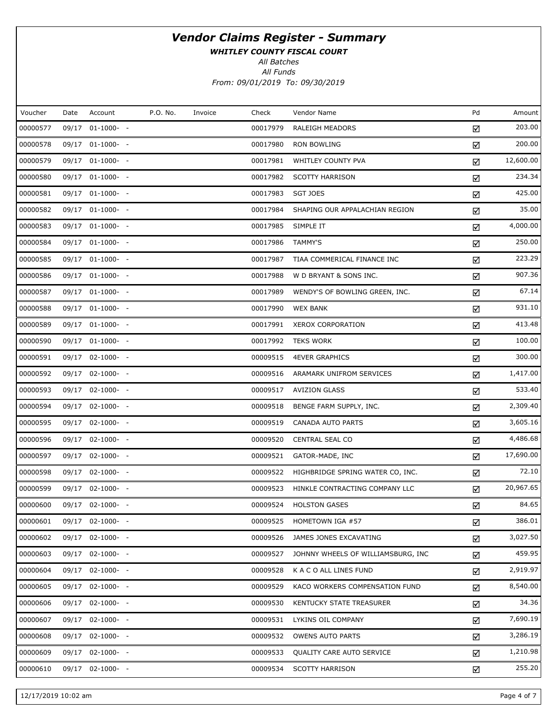WHITLEY COUNTY FISCAL COURT

All Batches

All Funds From: 09/01/2019 To: 09/30/2019

| Voucher  | Date | Account          | P.O. No. | Invoice | Check    | Vendor Name                        | Pd | Amount    |
|----------|------|------------------|----------|---------|----------|------------------------------------|----|-----------|
| 00000577 |      | 09/17 01-1000- - |          |         | 00017979 | RALEIGH MEADORS                    | ☑  | 203.00    |
| 00000578 |      | 09/17 01-1000- - |          |         | 00017980 | RON BOWLING                        | ☑  | 200.00    |
| 00000579 |      | 09/17 01-1000- - |          |         | 00017981 | WHITLEY COUNTY PVA                 | ☑  | 12,600.00 |
| 00000580 |      | 09/17 01-1000- - |          |         | 00017982 | <b>SCOTTY HARRISON</b>             | ☑  | 234.34    |
| 00000581 |      | 09/17 01-1000- - |          |         | 00017983 | <b>SGT JOES</b>                    | ☑  | 425.00    |
| 00000582 |      | 09/17 01-1000- - |          |         | 00017984 | SHAPING OUR APPALACHIAN REGION     | ☑  | 35.00     |
| 00000583 |      | 09/17 01-1000- - |          |         | 00017985 | SIMPLE IT                          | ☑  | 4,000.00  |
| 00000584 |      | 09/17 01-1000- - |          |         | 00017986 | TAMMY'S                            | ☑  | 250.00    |
| 00000585 |      | 09/17 01-1000- - |          |         | 00017987 | TIAA COMMERICAL FINANCE INC        | ☑  | 223.29    |
| 00000586 |      | 09/17 01-1000- - |          |         | 00017988 | W D BRYANT & SONS INC.             | ☑  | 907.36    |
| 00000587 |      | 09/17 01-1000- - |          |         | 00017989 | WENDY'S OF BOWLING GREEN, INC.     | ☑  | 67.14     |
| 00000588 |      | 09/17 01-1000- - |          |         | 00017990 | <b>WEX BANK</b>                    | ☑  | 931.10    |
| 00000589 |      | 09/17 01-1000- - |          |         | 00017991 | <b>XEROX CORPORATION</b>           | ☑  | 413.48    |
| 00000590 |      | 09/17 01-1000- - |          |         | 00017992 | <b>TEKS WORK</b>                   | ☑  | 100.00    |
| 00000591 |      | 09/17 02-1000- - |          |         | 00009515 | <b>4EVER GRAPHICS</b>              | ☑  | 300.00    |
| 00000592 |      | 09/17 02-1000- - |          |         | 00009516 | ARAMARK UNIFROM SERVICES           | ☑  | 1,417.00  |
| 00000593 |      | 09/17 02-1000- - |          |         | 00009517 | <b>AVIZION GLASS</b>               | ☑  | 533.40    |
| 00000594 |      | 09/17 02-1000- - |          |         | 00009518 | BENGE FARM SUPPLY, INC.            | ☑  | 2,309.40  |
| 00000595 |      | 09/17 02-1000- - |          |         | 00009519 | CANADA AUTO PARTS                  | ☑  | 3,605.16  |
| 00000596 |      | 09/17 02-1000- - |          |         | 00009520 | CENTRAL SEAL CO                    | ☑  | 4,486.68  |
| 00000597 |      | 09/17 02-1000- - |          |         | 00009521 | GATOR-MADE, INC                    | ☑  | 17,690.00 |
| 00000598 |      | 09/17 02-1000- - |          |         | 00009522 | HIGHBRIDGE SPRING WATER CO, INC.   | ☑  | 72.10     |
| 00000599 |      | 09/17 02-1000- - |          |         | 00009523 | HINKLE CONTRACTING COMPANY LLC     | ☑  | 20,967.65 |
| 00000600 |      | 09/17 02-1000- - |          |         | 00009524 | <b>HOLSTON GASES</b>               | ☑  | 84.65     |
| 00000601 |      | 09/17 02-1000- - |          |         | 00009525 | HOMETOWN IGA #57                   | ☑  | 386.01    |
| 00000602 |      | 09/17 02-1000- - |          |         | 00009526 | JAMES JONES EXCAVATING             | ☑  | 3,027.50  |
| 00000603 |      | 09/17 02-1000- - |          |         | 00009527 | JOHNNY WHEELS OF WILLIAMSBURG, INC | ☑  | 459.95    |
| 00000604 |      | 09/17 02-1000- - |          |         | 00009528 | K A C O ALL LINES FUND             | ☑  | 2,919.97  |
| 00000605 |      | 09/17 02-1000- - |          |         | 00009529 | KACO WORKERS COMPENSATION FUND     | ☑  | 8,540.00  |
| 00000606 |      | 09/17 02-1000- - |          |         | 00009530 | KENTUCKY STATE TREASURER           | ☑  | 34.36     |
| 00000607 |      | 09/17 02-1000- - |          |         | 00009531 | LYKINS OIL COMPANY                 | ☑  | 7,690.19  |
| 00000608 |      | 09/17 02-1000- - |          |         | 00009532 | <b>OWENS AUTO PARTS</b>            | ☑  | 3,286.19  |
| 00000609 |      | 09/17 02-1000- - |          |         | 00009533 | QUALITY CARE AUTO SERVICE          | ☑  | 1,210.98  |
| 00000610 |      | 09/17 02-1000- - |          |         | 00009534 | <b>SCOTTY HARRISON</b>             | ☑  | 255.20    |

12/17/2019 10:02 am Page 4 of 7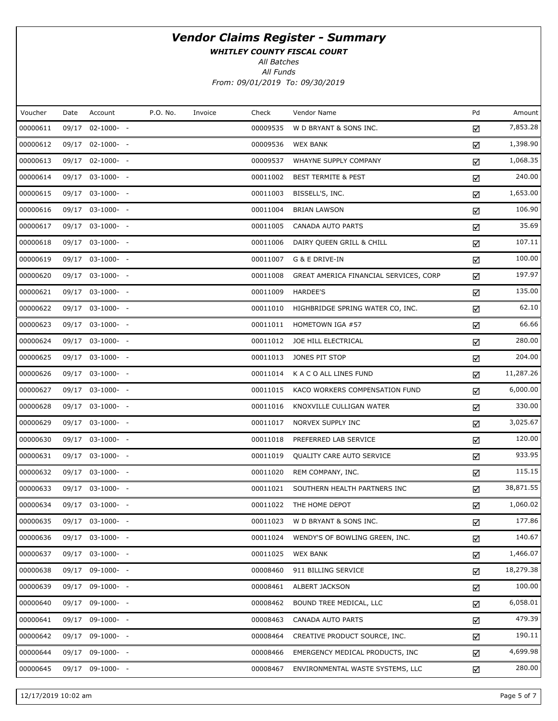WHITLEY COUNTY FISCAL COURT

All Batches

| Voucher  | Date | Account          | P.O. No. | Invoice | Check    | Vendor Name                            | Pd | Amount    |
|----------|------|------------------|----------|---------|----------|----------------------------------------|----|-----------|
| 00000611 |      | 09/17 02-1000- - |          |         | 00009535 | W D BRYANT & SONS INC.                 | ☑  | 7,853.28  |
| 00000612 |      | 09/17 02-1000- - |          |         | 00009536 | <b>WEX BANK</b>                        | ☑  | 1,398.90  |
| 00000613 |      | 09/17 02-1000- - |          |         | 00009537 | WHAYNE SUPPLY COMPANY                  | ☑  | 1,068.35  |
| 00000614 |      | 09/17 03-1000- - |          |         | 00011002 | <b>BEST TERMITE &amp; PEST</b>         | ☑  | 240.00    |
| 00000615 |      | 09/17 03-1000- - |          |         | 00011003 | BISSELL'S, INC.                        | ☑  | 1,653.00  |
| 00000616 |      | 09/17 03-1000- - |          |         | 00011004 | <b>BRIAN LAWSON</b>                    | ☑  | 106.90    |
| 00000617 |      | 09/17 03-1000- - |          |         | 00011005 | CANADA AUTO PARTS                      | ☑  | 35.69     |
| 00000618 |      | 09/17 03-1000- - |          |         | 00011006 | DAIRY QUEEN GRILL & CHILL              | ☑  | 107.11    |
| 00000619 |      | 09/17 03-1000- - |          |         | 00011007 | G & E DRIVE-IN                         | ☑  | 100.00    |
| 00000620 |      | 09/17 03-1000- - |          |         | 00011008 | GREAT AMERICA FINANCIAL SERVICES, CORP | ☑  | 197.97    |
| 00000621 |      | 09/17 03-1000- - |          |         | 00011009 | HARDEE'S                               | ☑  | 135.00    |
| 00000622 |      | 09/17 03-1000- - |          |         | 00011010 | HIGHBRIDGE SPRING WATER CO, INC.       | ☑  | 62.10     |
| 00000623 |      | 09/17 03-1000- - |          |         | 00011011 | HOMETOWN IGA #57                       | ☑  | 66.66     |
| 00000624 |      | 09/17 03-1000- - |          |         | 00011012 | JOE HILL ELECTRICAL                    | ☑  | 280.00    |
| 00000625 |      | 09/17 03-1000- - |          |         | 00011013 | JONES PIT STOP                         | ☑  | 204.00    |
| 00000626 |      | 09/17 03-1000- - |          |         | 00011014 | K A C O ALL LINES FUND                 | ☑  | 11,287.26 |
| 00000627 |      | 09/17 03-1000- - |          |         | 00011015 | KACO WORKERS COMPENSATION FUND         | ☑  | 6,000.00  |
| 00000628 |      | 09/17 03-1000- - |          |         | 00011016 | KNOXVILLE CULLIGAN WATER               | ☑  | 330.00    |
| 00000629 |      | 09/17 03-1000- - |          |         | 00011017 | NORVEX SUPPLY INC                      | ☑  | 3,025.67  |
| 00000630 |      | 09/17 03-1000- - |          |         | 00011018 | PREFERRED LAB SERVICE                  | ☑  | 120.00    |
| 00000631 |      | 09/17 03-1000- - |          |         | 00011019 | QUALITY CARE AUTO SERVICE              | ☑  | 933.95    |
| 00000632 |      | 09/17 03-1000- - |          |         | 00011020 | REM COMPANY, INC.                      | ☑  | 115.15    |
| 00000633 |      | 09/17 03-1000- - |          |         | 00011021 | SOUTHERN HEALTH PARTNERS INC           | ☑  | 38,871.55 |
| 00000634 |      | 09/17 03-1000- - |          |         | 00011022 | THE HOME DEPOT                         | ☑  | 1,060.02  |
| 00000635 |      | 09/17 03-1000- - |          |         | 00011023 | W D BRYANT & SONS INC.                 | ☑  | 177.86    |
| 00000636 |      | 09/17 03-1000- - |          |         | 00011024 | WENDY'S OF BOWLING GREEN, INC.         | ☑  | 140.67    |
| 00000637 |      | 09/17 03-1000- - |          |         | 00011025 | <b>WEX BANK</b>                        | ☑  | 1,466.07  |
| 00000638 |      | 09/17 09-1000- - |          |         | 00008460 | 911 BILLING SERVICE                    | ☑  | 18,279.38 |
| 00000639 |      | 09/17 09-1000- - |          |         | 00008461 | ALBERT JACKSON                         | ☑  | 100.00    |
| 00000640 |      | 09/17 09-1000- - |          |         | 00008462 | BOUND TREE MEDICAL, LLC                | ☑  | 6,058.01  |
| 00000641 |      | 09/17 09-1000- - |          |         | 00008463 | CANADA AUTO PARTS                      | ☑  | 479.39    |
| 00000642 |      | 09/17 09-1000- - |          |         | 00008464 | CREATIVE PRODUCT SOURCE, INC.          | ☑  | 190.11    |
| 00000644 |      | 09/17 09-1000- - |          |         | 00008466 | EMERGENCY MEDICAL PRODUCTS, INC        | ☑  | 4,699.98  |
| 00000645 |      | 09/17 09-1000- - |          |         | 00008467 | ENVIRONMENTAL WASTE SYSTEMS, LLC       | ☑  | 280.00    |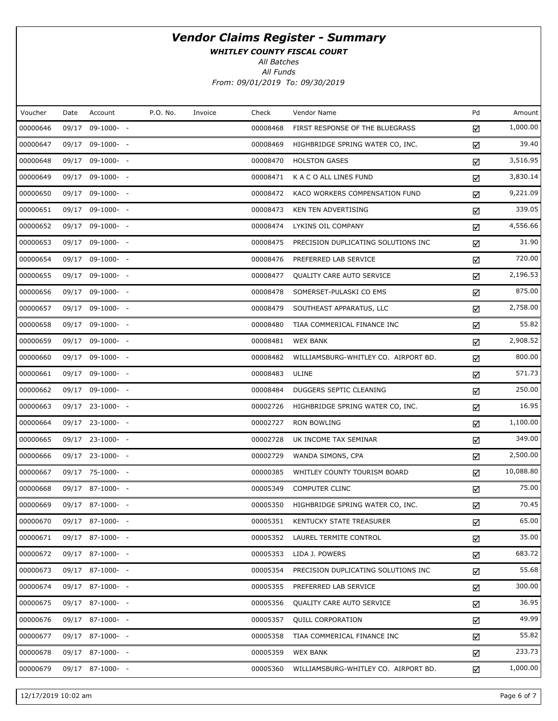WHITLEY COUNTY FISCAL COURT

All Batches

| Voucher  | Date | Account            | P.O. No. | Invoice | Check    | Vendor Name                          | Pd | Amount    |
|----------|------|--------------------|----------|---------|----------|--------------------------------------|----|-----------|
| 00000646 |      | 09/17 09-1000- -   |          |         | 00008468 | FIRST RESPONSE OF THE BLUEGRASS      | ☑  | 1,000.00  |
| 00000647 |      | 09/17 09-1000- -   |          |         | 00008469 | HIGHBRIDGE SPRING WATER CO, INC.     | ☑  | 39.40     |
| 00000648 |      | 09/17 09-1000- -   |          |         | 00008470 | <b>HOLSTON GASES</b>                 | ☑  | 3,516.95  |
| 00000649 |      | 09/17 09-1000- -   |          |         | 00008471 | K A C O ALL LINES FUND               | ☑  | 3,830.14  |
| 00000650 |      | 09/17 09-1000- -   |          |         | 00008472 | KACO WORKERS COMPENSATION FUND       | ☑  | 9,221.09  |
| 00000651 |      | 09/17 09-1000- -   |          |         | 00008473 | KEN TEN ADVERTISING                  | ☑  | 339.05    |
| 00000652 |      | 09/17 09-1000- -   |          |         | 00008474 | LYKINS OIL COMPANY                   | ☑  | 4,556.66  |
| 00000653 |      | 09/17 09-1000- -   |          |         | 00008475 | PRECISION DUPLICATING SOLUTIONS INC  | ☑  | 31.90     |
| 00000654 |      | 09/17 09-1000- -   |          |         | 00008476 | PREFERRED LAB SERVICE                | ☑  | 720.00    |
| 00000655 |      | 09/17 09-1000- -   |          |         | 00008477 | QUALITY CARE AUTO SERVICE            | ☑  | 2,196.53  |
| 00000656 |      | 09/17 09-1000- -   |          |         | 00008478 | SOMERSET-PULASKI CO EMS              | ☑  | 875.00    |
| 00000657 |      | 09/17 09-1000- -   |          |         | 00008479 | SOUTHEAST APPARATUS, LLC             | ☑  | 2,758.00  |
| 00000658 |      | 09/17 09-1000- -   |          |         | 00008480 | TIAA COMMERICAL FINANCE INC          | ☑  | 55.82     |
| 00000659 |      | 09/17 09-1000- -   |          |         | 00008481 | <b>WEX BANK</b>                      | ☑  | 2,908.52  |
| 00000660 |      | 09/17 09-1000- -   |          |         | 00008482 | WILLIAMSBURG-WHITLEY CO. AIRPORT BD. | ☑  | 800.00    |
| 00000661 |      | 09/17 09-1000- -   |          |         | 00008483 | ULINE                                | ☑  | 571.73    |
| 00000662 |      | 09/17 09-1000- -   |          |         | 00008484 | DUGGERS SEPTIC CLEANING              | ☑  | 250.00    |
| 00000663 |      | 09/17 23-1000- -   |          |         | 00002726 | HIGHBRIDGE SPRING WATER CO, INC.     | ☑  | 16.95     |
| 00000664 |      | 09/17 23-1000- -   |          |         | 00002727 | RON BOWLING                          | ☑  | 1,100.00  |
| 00000665 |      | 09/17 23-1000- -   |          |         | 00002728 | UK INCOME TAX SEMINAR                | ☑  | 349.00    |
| 00000666 |      | 09/17 23-1000- -   |          |         | 00002729 | WANDA SIMONS, CPA                    | ☑  | 2,500.00  |
| 00000667 |      | 09/17 75-1000- -   |          |         | 00000385 | WHITLEY COUNTY TOURISM BOARD         | ☑  | 10,088.80 |
| 00000668 |      | 09/17 87-1000- -   |          |         | 00005349 | <b>COMPUTER CLINC</b>                | ☑  | 75.00     |
| 00000669 |      | 09/17 87-1000- -   |          |         | 00005350 | HIGHBRIDGE SPRING WATER CO, INC.     | ☑  | 70.45     |
| 00000670 |      | 09/17 87-1000- -   |          |         | 00005351 | KENTUCKY STATE TREASURER             | ☑  | 65.00     |
| 00000671 |      | 09/17 87-1000- -   |          |         | 00005352 | LAUREL TERMITE CONTROL               | ☑  | 35.00     |
| 00000672 |      | 09/17 87-1000- -   |          |         | 00005353 | LIDA J. POWERS                       | ☑  | 683.72    |
| 00000673 |      | 09/17 87-1000- -   |          |         | 00005354 | PRECISION DUPLICATING SOLUTIONS INC  | ☑  | 55.68     |
| 00000674 |      | 09/17 87-1000- -   |          |         | 00005355 | PREFERRED LAB SERVICE                | ☑  | 300.00    |
| 00000675 |      | 09/17 87-1000- -   |          |         | 00005356 | QUALITY CARE AUTO SERVICE            | ☑  | 36.95     |
| 00000676 |      | 09/17 87-1000- -   |          |         | 00005357 | <b>QUILL CORPORATION</b>             | ☑  | 49.99     |
| 00000677 |      | 09/17 87-1000- -   |          |         | 00005358 | TIAA COMMERICAL FINANCE INC          | ☑  | 55.82     |
| 00000678 |      | $09/17$ 87-1000- - |          |         | 00005359 | <b>WEX BANK</b>                      | ☑  | 233.73    |
| 00000679 |      | 09/17 87-1000- -   |          |         | 00005360 | WILLIAMSBURG-WHITLEY CO. AIRPORT BD. | ☑  | 1,000.00  |